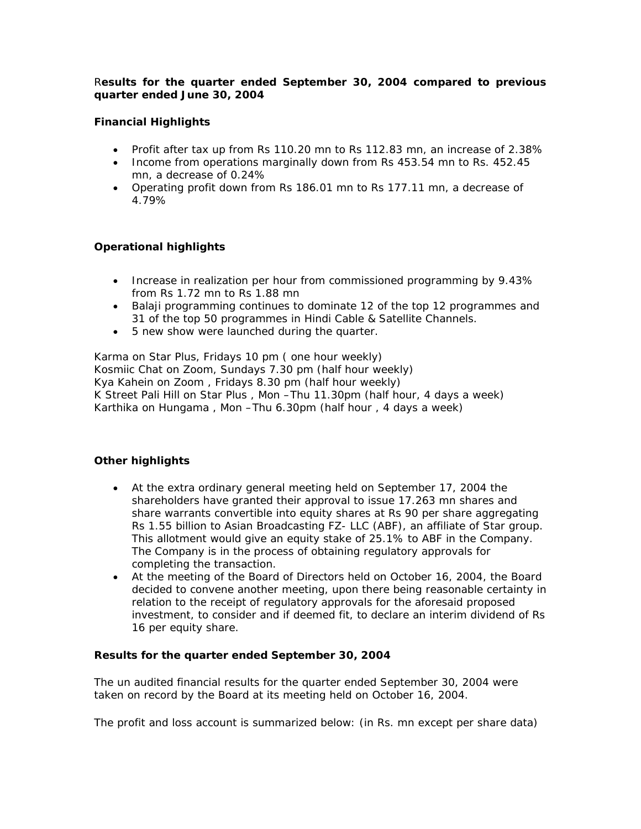## R*esults for the quarter ended September 30, 2004 compared to previous quarter ended June 30, 2004*

## **Financial Highlights**

- Profit after tax up from Rs 110.20 mn to Rs 112.83 mn, an increase of 2.38%
- Income from operations marginally down from Rs 453.54 mn to Rs. 452.45 mn, a decrease of 0.24%
- Operating profit down from Rs 186.01 mn to Rs 177.11 mn, a decrease of 4.79%

## **Operational highlights**

- Increase in realization per hour from commissioned programming by 9.43% from Rs 1.72 mn to Rs 1.88 mn
- Balaji programming continues to dominate 12 of the top 12 programmes and 31 of the top 50 programmes in Hindi Cable & Satellite Channels.
- 5 new show were launched during the quarter.

Karma on Star Plus, Fridays 10 pm ( one hour weekly) Kosmiic Chat on Zoom, Sundays 7.30 pm (half hour weekly) Kya Kahein on Zoom , Fridays 8.30 pm (half hour weekly) K Street Pali Hill on Star Plus , Mon –Thu 11.30pm (half hour, 4 days a week) Karthika on Hungama , Mon –Thu 6.30pm (half hour , 4 days a week)

# **Other highlights**

- At the extra ordinary general meeting held on September 17, 2004 the shareholders have granted their approval to issue 17.263 mn shares and share warrants convertible into equity shares at Rs 90 per share aggregating Rs 1.55 billion to Asian Broadcasting FZ- LLC (ABF), an affiliate of Star group. This allotment would give an equity stake of 25.1% to ABF in the Company. The Company is in the process of obtaining regulatory approvals for completing the transaction.
- At the meeting of the Board of Directors held on October 16, 2004, the Board decided to convene another meeting, upon there being reasonable certainty in relation to the receipt of regulatory approvals for the aforesaid proposed investment, to consider and if deemed fit, to declare an interim dividend of Rs 16 per equity share.

## **Results for the quarter ended September 30, 2004**

The un audited financial results for the quarter ended September 30, 2004 were taken on record by the Board at its meeting held on October 16, 2004.

The profit and loss account is summarized below: (in Rs. mn except per share data)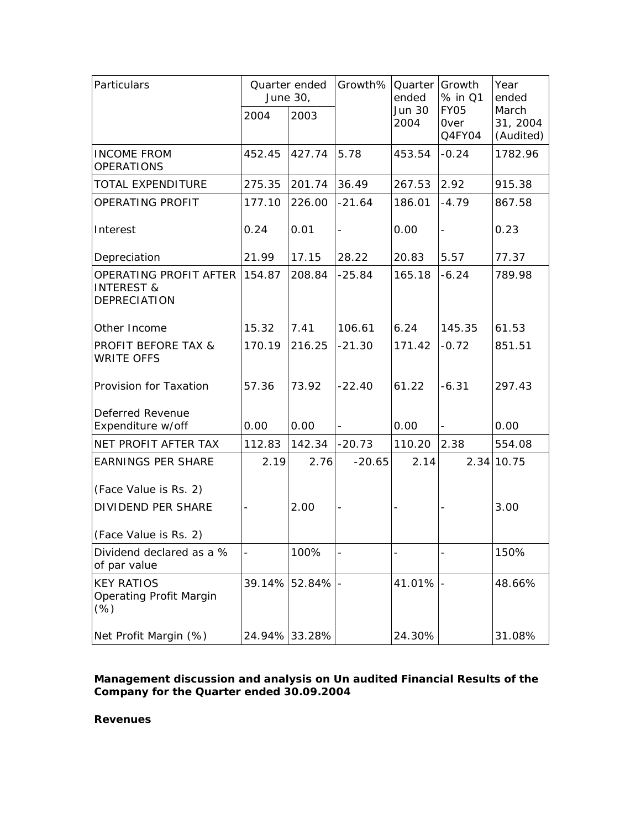| Particulars                                                     |        | Quarter ended<br>June 30, | Growth%<br>Quarter<br>ended |                       | Growth<br>% in Q1                    | Year<br>ended                  |
|-----------------------------------------------------------------|--------|---------------------------|-----------------------------|-----------------------|--------------------------------------|--------------------------------|
|                                                                 | 2004   | 2003                      |                             | <b>Jun 30</b><br>2004 | <b>FY05</b><br><b>Over</b><br>Q4FY04 | March<br>31, 2004<br>(Audited) |
| <b>INCOME FROM</b><br><b>OPERATIONS</b>                         | 452.45 | 427.74                    | 5.78                        | 453.54                | $-0.24$                              | 1782.96                        |
| TOTAL EXPENDITURE                                               | 275.35 | 201.74                    | 36.49                       | 267.53                | 2.92                                 | 915.38                         |
| OPERATING PROFIT                                                | 177.10 | 226.00                    | $-21.64$                    | 186.01                | $-4.79$                              | 867.58                         |
| Interest                                                        | 0.24   | 0.01                      | $\overline{\phantom{a}}$    | 0.00                  | $\Box$                               | 0.23                           |
| Depreciation                                                    | 21.99  | 17.15                     | 28.22                       | 20.83                 | 5.57                                 | 77.37                          |
| OPERATING PROFIT AFTER<br><b>INTEREST &amp;</b><br>DEPRECIATION | 154.87 | 208.84                    | $-25.84$                    | 165.18                | $-6.24$                              | 789.98                         |
| Other Income                                                    | 15.32  | 7.41                      | 106.61                      | 6.24                  | 145.35                               | 61.53                          |
| <b>PROFIT BEFORE TAX &amp;</b><br><b>WRITE OFFS</b>             | 170.19 | 216.25                    | $-21.30$                    | 171.42                | $-0.72$                              | 851.51                         |
| Provision for Taxation                                          | 57.36  | 73.92                     | $-22.40$                    | 61.22                 | $-6.31$                              | 297.43                         |
| Deferred Revenue<br>Expenditure w/off                           | 0.00   | 0.00                      |                             | 0.00                  | $\qquad \qquad \blacksquare$         | 0.00                           |
| NET PROFIT AFTER TAX                                            | 112.83 | 142.34                    | $-20.73$                    | 110.20                | 2.38                                 | 554.08                         |
| <b>EARNINGS PER SHARE</b><br>(Face Value is Rs. 2)              | 2.19   | 2.76                      | $-20.65$                    | 2.14                  |                                      | 2.34 10.75                     |
| DIVIDEND PER SHARE                                              |        | 2.00                      |                             |                       |                                      | 3.00                           |
| (Face Value is Rs. 2)                                           |        |                           |                             |                       |                                      |                                |
| Dividend declared as a %<br>of par value                        |        | 100%                      |                             |                       |                                      | 150%                           |
| <b>KEY RATIOS</b><br>Operating Profit Margin<br>$(\%)$          |        | 39.14% 52.84%             |                             | $41.01\%$ -           |                                      | 48.66%                         |
| Net Profit Margin (%)                                           | 24.94% | 33.28%                    |                             | 24.30%                |                                      | 31.08%                         |

## **Management discussion and analysis on Un audited Financial Results of the Company for the Quarter ended 30.09.2004**

### **Revenues**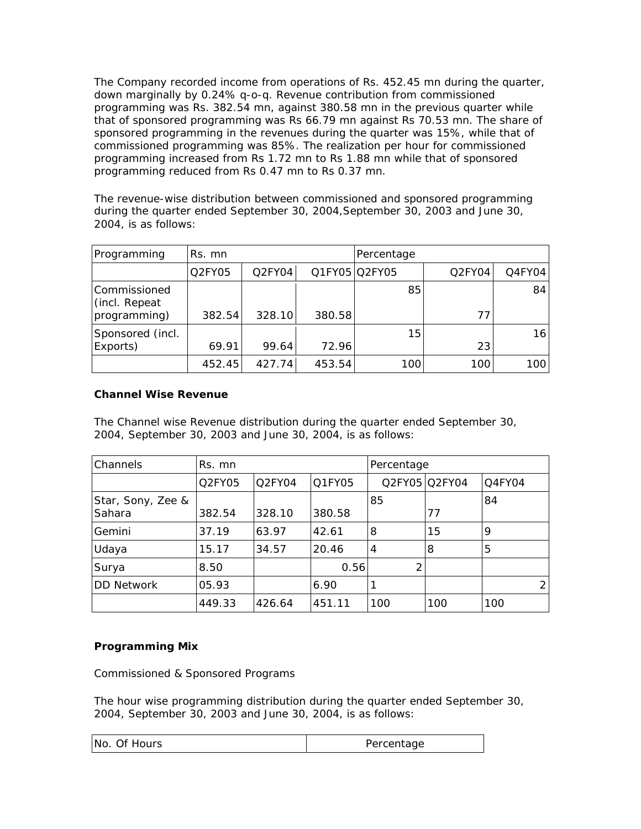The Company recorded income from operations of Rs. 452.45 mn during the quarter, down marginally by 0.24% q-o-q. Revenue contribution from commissioned programming was Rs. 382.54 mn, against 380.58 mn in the previous quarter while that of sponsored programming was Rs 66.79 mn against Rs 70.53 mn. The share of sponsored programming in the revenues during the quarter was 15%, while that of commissioned programming was 85%. The realization per hour for commissioned programming increased from Rs 1.72 mn to Rs 1.88 mn while that of sponsored programming reduced from Rs 0.47 mn to Rs 0.37 mn.

The revenue-wise distribution between commissioned and sponsored programming during the quarter ended September 30, 2004,September 30, 2003 and June 30, 2004, is as follows:

| Programming                   | Rs. mn |        |               | Percentage |        |        |
|-------------------------------|--------|--------|---------------|------------|--------|--------|
|                               | Q2FY05 | Q2FY04 | Q1FY05 Q2FY05 |            | Q2FY04 | Q4FY04 |
| Commissioned<br>(incl. Repeat |        |        |               | 85         |        | 84     |
| programming)                  | 382.54 | 328.10 | 380.58        |            | 77     |        |
| Sponsored (incl.              |        |        |               | 15         |        | 16     |
| Exports)                      | 69.91  | 99.64  | 72.96         |            | 23     |        |
|                               | 452.45 | 427.74 | 453.54        | 100        | 100    | 100    |

## **Channel Wise Revenue**

The Channel wise Revenue distribution during the quarter ended September 30, 2004, September 30, 2003 and June 30, 2004, is as follows:

| Channels                    | Rs. mn |                                 |        | Percentage     |               |        |   |
|-----------------------------|--------|---------------------------------|--------|----------------|---------------|--------|---|
|                             | Q2FY05 | O <sub>2</sub> FY <sub>04</sub> | Q1FY05 |                | Q2FY05 Q2FY04 | Q4FY04 |   |
| Star, Sony, Zee &<br>Sahara | 382.54 | 328.10                          | 380.58 | 85             | 77            | 84     |   |
| Gemini                      | 37.19  | 63.97                           | 42.61  | 8              | 15            | 9      |   |
| Udaya                       | 15.17  | 34.57                           | 20.46  | $\overline{4}$ | 8             | 5      |   |
| Surya                       | 8.50   |                                 | 0.56   | 2              |               |        |   |
| <b>DD Network</b>           | 05.93  |                                 | 6.90   |                |               |        | 2 |
|                             | 449.33 | 426.64                          | 451.11 | 100            | 100           | 100    |   |

# **Programming Mix**

Commissioned & Sponsored Programs

The hour wise programming distribution during the quarter ended September 30, 2004, September 30, 2003 and June 30, 2004, is as follows:

| No. Of Hours | Percentage |
|--------------|------------|
|--------------|------------|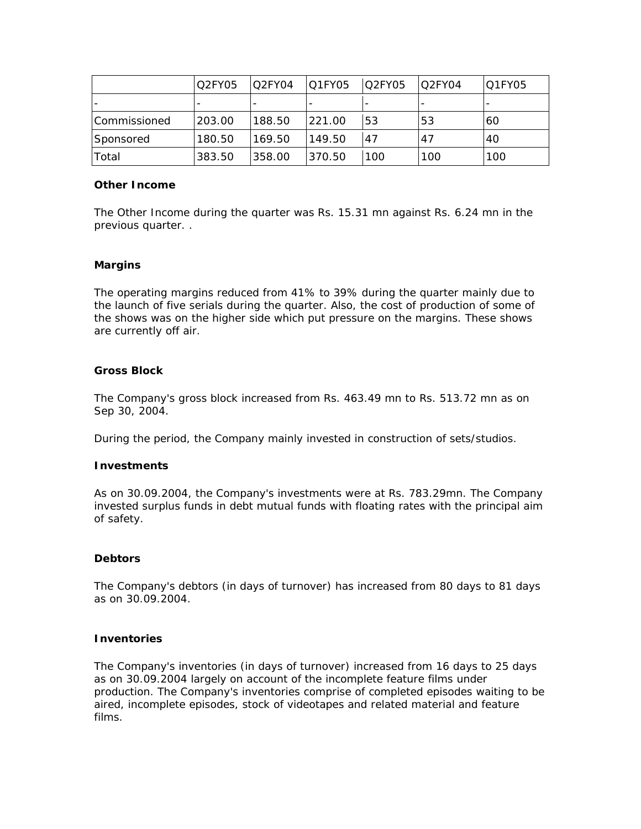|                | IQ2FY05 | Q <sub>2</sub> FY <sub>04</sub> | <b>Q1FY05</b> | O2FY05 | O2FY04 | Q1FY05 |
|----------------|---------|---------------------------------|---------------|--------|--------|--------|
|                |         |                                 |               |        |        |        |
| l Commissioned | 1203.00 | 188.50                          | 221.00        | 53     | 53     | 60     |
| Sponsored      | 180.50  | 169.50                          | 149.50        | 47     | 47     | 40     |
| Total          | 383.50  | 358.00                          | 370.50        | 100    | 100    | 100    |

#### **Other Income**

The Other Income during the quarter was Rs. 15.31 mn against Rs. 6.24 mn in the previous quarter. .

### **Margins**

The operating margins reduced from 41% to 39% during the quarter mainly due to the launch of five serials during the quarter. Also, the cost of production of some of the shows was on the higher side which put pressure on the margins. These shows are currently off air.

### **Gross Block**

The Company's gross block increased from Rs. 463.49 mn to Rs. 513.72 mn as on Sep 30, 2004.

During the period, the Company mainly invested in construction of sets/studios.

## **Investments**

As on 30.09.2004, the Company's investments were at Rs. 783.29mn. The Company invested surplus funds in debt mutual funds with floating rates with the principal aim of safety.

## **Debtors**

The Company's debtors (in days of turnover) has increased from 80 days to 81 days as on 30.09.2004.

### **Inventories**

The Company's inventories (in days of turnover) increased from 16 days to 25 days as on 30.09.2004 largely on account of the incomplete feature films under production. The Company's inventories comprise of completed episodes waiting to be aired, incomplete episodes, stock of videotapes and related material and feature films.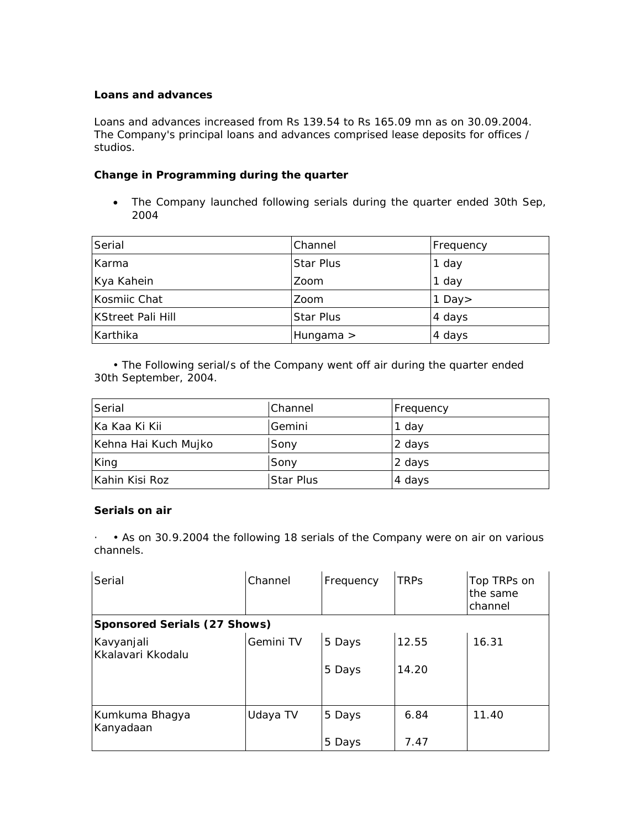## **Loans and advances**

Loans and advances increased from Rs 139.54 to Rs 165.09 mn as on 30.09.2004. The Company's principal loans and advances comprised lease deposits for offices / studios.

## **Change in Programming during the quarter**

• The Company launched following serials during the quarter ended 30th Sep, 2004

| Serial                   | Channel          | Frequency |
|--------------------------|------------------|-----------|
| Karma                    | <b>Star Plus</b> | 1 day     |
| Kya Kahein               | Zoom             | 1 day     |
| Kosmiic Chat             | Zoom             | 1 Day $>$ |
| <b>KStreet Pali Hill</b> | <b>Star Plus</b> | 4 days    |
| Karthika                 | Hungama $>$      | 4 days    |

 • The Following serial/s of the Company went off air during the quarter ended 30th September, 2004.

| Serial               | l Channel        | <b>Frequency</b> |
|----------------------|------------------|------------------|
| Ka Kaa Ki Kii        | Gemini           | 1 day            |
| Kehna Hai Kuch Mujko | Sony             | 2 days           |
| King                 | Sony             | 2 days           |
| Kahin Kisi Roz       | <b>Star Plus</b> | 4 days           |

## **Serials on air**

· • As on 30.9.2004 the following 18 serials of the Company were on air on various channels.

| Serial                          | Channel   | Frequency | <b>TRPs</b> | Top TRPs on<br>the same<br>channel |
|---------------------------------|-----------|-----------|-------------|------------------------------------|
| Sponsored Serials (27 Shows)    |           |           |             |                                    |
| Kavyanjali<br>Kkalavari Kkodalu | Gemini TV | 5 Days    | 12.55       | 16.31                              |
|                                 |           | 5 Days    | 14.20       |                                    |
|                                 |           |           |             |                                    |
| Kumkuma Bhagya<br>Kanyadaan     | Udaya TV  | 5 Days    | 6.84        | 11.40                              |
|                                 |           | 5 Days    | 7.47        |                                    |